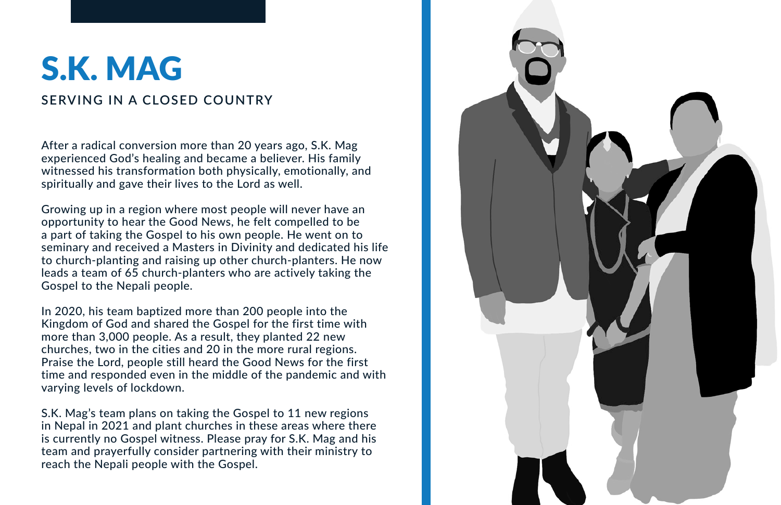## S.K. MAG

**SERVING IN A CLOSED COUNTRY**

After a radical conversion more than 20 years ago, S.K. Mag experienced God's healing and became a believer. His family witnessed his transformation both physically, emotionally, and spiritually and gave their lives to the Lord as well.

Growing up in a region where most people will never have an opportunity to hear the Good News, he felt compelled to be a part of taking the Gospel to his own people. He went on to seminary and received a Masters in Divinity and dedicated his life to church-planting and raising up other church-planters. He now leads a team of 65 church-planters who are actively taking the Gospel to the Nepali people.

In 2020, his team baptized more than 200 people into the Kingdom of God and shared the Gospel for the first time with more than 3,000 people. As a result, they planted 22 new churches, two in the cities and 20 in the more rural regions. Praise the Lord, people still heard the Good News for the first time and responded even in the middle of the pandemic and with varying levels of lockdown.

S.K. Mag's team plans on taking the Gospel to 11 new regions in Nepal in 2021 and plant churches in these areas where there is currently no Gospel witness. Please pray for S.K. Mag and his team and prayerfully consider partnering with their ministry to reach the Nepali people with the Gospel.